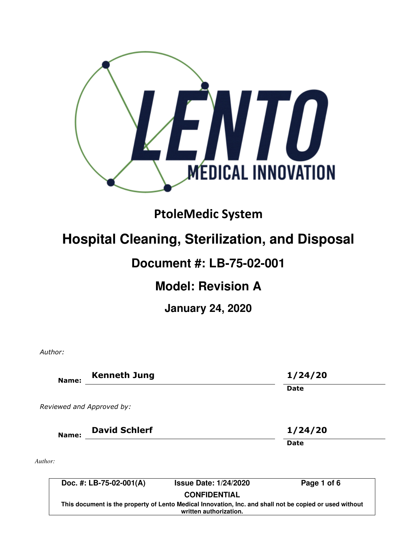

# PtoleMedic System

# **Hospital Cleaning, Sterilization, and Disposal**

### **Document #: LB-75-02-001**

## **Model: Revision A**

**January 24, 2020** 

Author:

| Name:                     | <b>Kenneth Jung</b>                                                                                                               |                              | 1/24/20     |  |  |
|---------------------------|-----------------------------------------------------------------------------------------------------------------------------------|------------------------------|-------------|--|--|
|                           |                                                                                                                                   |                              | Date        |  |  |
| Reviewed and Approved by: |                                                                                                                                   |                              |             |  |  |
| Name:                     | <b>David Schlerf</b>                                                                                                              |                              | 1/24/20     |  |  |
|                           |                                                                                                                                   |                              | Date        |  |  |
| Author:                   |                                                                                                                                   |                              |             |  |  |
|                           | Doc. #: LB-75-02-001(A)                                                                                                           | <b>Issue Date: 1/24/2020</b> | Page 1 of 6 |  |  |
|                           |                                                                                                                                   | <b>CONFIDENTIAL</b>          |             |  |  |
|                           | This document is the property of Lento Medical Innovation, Inc. and shall not be copied or used without<br>written authorization. |                              |             |  |  |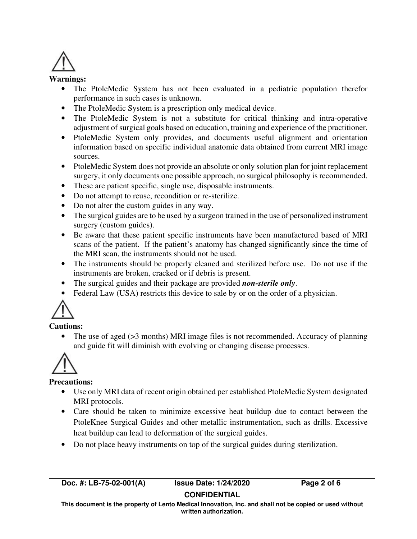

#### **Warnings:**

- The PtoleMedic System has not been evaluated in a pediatric population therefor performance in such cases is unknown.
- The PtoleMedic System is a prescription only medical device.
- The PtoleMedic System is not a substitute for critical thinking and intra-operative adjustment of surgical goals based on education, training and experience of the practitioner.
- PtoleMedic System only provides, and documents useful alignment and orientation information based on specific individual anatomic data obtained from current MRI image sources.
- PtoleMedic System does not provide an absolute or only solution plan for joint replacement surgery, it only documents one possible approach, no surgical philosophy is recommended.
- These are patient specific, single use, disposable instruments.
- Do not attempt to reuse, recondition or re-sterilize.
- Do not alter the custom guides in any way.
- The surgical guides are to be used by a surgeon trained in the use of personalized instrument surgery (custom guides).
- Be aware that these patient specific instruments have been manufactured based of MRI scans of the patient. If the patient's anatomy has changed significantly since the time of the MRI scan, the instruments should not be used.
- The instruments should be properly cleaned and sterilized before use. Do not use if the instruments are broken, cracked or if debris is present.
- The surgical guides and their package are provided *non-sterile only*.
- Federal Law (USA) restricts this device to sale by or on the order of a physician.



#### **Cautions:**

The use of aged (>3 months) MRI image files is not recommended. Accuracy of planning and guide fit will diminish with evolving or changing disease processes.



#### **Precautions:**

- Use only MRI data of recent origin obtained per established PtoleMedic System designated MRI protocols.
- Care should be taken to minimize excessive heat buildup due to contact between the PtoleKnee Surgical Guides and other metallic instrumentation, such as drills. Excessive heat buildup can lead to deformation of the surgical guides.
- Do not place heavy instruments on top of the surgical guides during sterilization.

**Doc. #: LB-75-02-001(A) Issue Date: 1/24/2020 Page 2 of 6** 

**CONFIDENTIAL** 

**This document is the property of Lento Medical Innovation, Inc. and shall not be copied or used without written authorization.**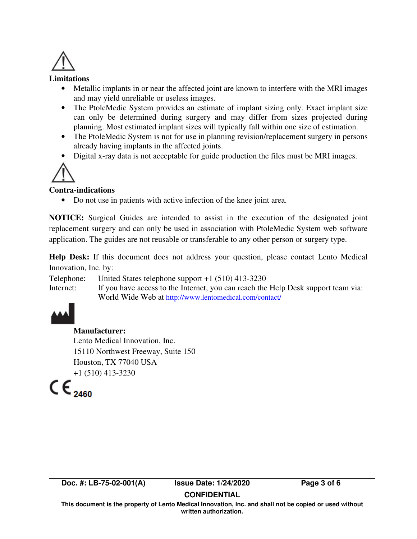

#### **Limitations**

- Metallic implants in or near the affected joint are known to interfere with the MRI images and may yield unreliable or useless images.
- The PtoleMedic System provides an estimate of implant sizing only. Exact implant size can only be determined during surgery and may differ from sizes projected during planning. Most estimated implant sizes will typically fall within one size of estimation.
- The PtoleMedic System is not for use in planning revision/replacement surgery in persons already having implants in the affected joints.
- Digital x-ray data is not acceptable for guide production the files must be MRI images.



#### **Contra-indications**

• Do not use in patients with active infection of the knee joint area.

**NOTICE:** Surgical Guides are intended to assist in the execution of the designated joint replacement surgery and can only be used in association with PtoleMedic System web software application. The guides are not reusable or transferable to any other person or surgery type.

**Help Desk:** If this document does not address your question, please contact Lento Medical Innovation, Inc. by:

Telephone: United States telephone support +1 (510) 413-3230

Internet: If you have access to the Internet, you can reach the Help Desk support team via: World Wide Web at http://www.lentomedical.com/contact/



#### **Manufacturer:**

Lento Medical Innovation, Inc. 15110 Northwest Freeway, Suite 150 Houston, TX 77040 USA

 $\mathbf{C} \in \mathbb{C}^{+1 (510) 413 \cdot 3230}$ 

**Doc. #: LB-75-02-001(A) Issue Date: 1/24/2020 Page 3 of 6** 

### **CONFIDENTIAL**

**This document is the property of Lento Medical Innovation, Inc. and shall not be copied or used without written authorization.**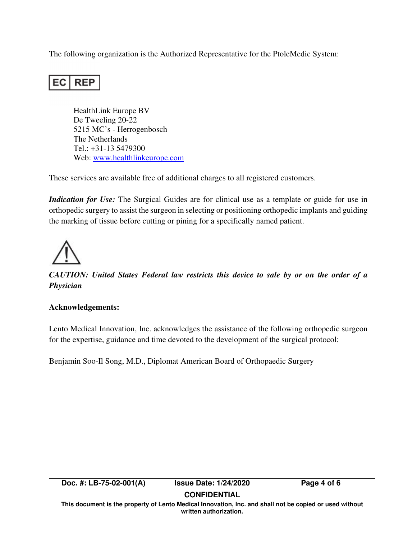The following organization is the Authorized Representative for the PtoleMedic System:

#### EC I **REP**

HealthLink Europe BV De Tweeling 20-22 5215 MC's - Herrogenbosch The Netherlands Tel.: +31-13 5479300 Web: www.healthlinkeurope.com

These services are available free of additional charges to all registered customers.

*Indication for Use:* The Surgical Guides are for clinical use as a template or guide for use in orthopedic surgery to assist the surgeon in selecting or positioning orthopedic implants and guiding the marking of tissue before cutting or pining for a specifically named patient.



*CAUTION: United States Federal law restricts this device to sale by or on the order of a Physician* 

#### **Acknowledgements:**

Lento Medical Innovation, Inc. acknowledges the assistance of the following orthopedic surgeon for the expertise, guidance and time devoted to the development of the surgical protocol:

Benjamin Soo-Il Song, M.D., Diplomat American Board of Orthopaedic Surgery

|                                                                                                                                   | Doc. #: $LB-75-02-001(A)$ | <b>Issue Date: 1/24/2020</b> | Page 4 of 6 |  |  |  |  |
|-----------------------------------------------------------------------------------------------------------------------------------|---------------------------|------------------------------|-------------|--|--|--|--|
|                                                                                                                                   | <b>CONFIDENTIAL</b>       |                              |             |  |  |  |  |
| This document is the property of Lento Medical Innovation, Inc. and shall not be copied or used without<br>written authorization. |                           |                              |             |  |  |  |  |
|                                                                                                                                   |                           |                              |             |  |  |  |  |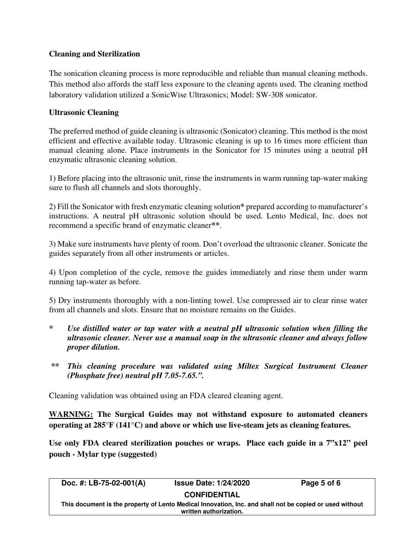### **Cleaning and Sterilization**

The sonication cleaning process is more reproducible and reliable than manual cleaning methods. This method also affords the staff less exposure to the cleaning agents used. The cleaning method laboratory validation utilized a SonicWise Ultrasonics; Model: SW-308 sonicator.

#### **Ultrasonic Cleaning**

The preferred method of guide cleaning is ultrasonic (Sonicator) cleaning. This method is the most efficient and effective available today. Ultrasonic cleaning is up to 16 times more efficient than manual cleaning alone. Place instruments in the Sonicator for 15 minutes using a neutral pH enzymatic ultrasonic cleaning solution.

1) Before placing into the ultrasonic unit, rinse the instruments in warm running tap-water making sure to flush all channels and slots thoroughly.

2) Fill the Sonicator with fresh enzymatic cleaning solution**\*** prepared according to manufacturer's instructions. A neutral pH ultrasonic solution should be used. Lento Medical, Inc. does not recommend a specific brand of enzymatic cleaner**\*\***.

3) Make sure instruments have plenty of room. Don't overload the ultrasonic cleaner. Sonicate the guides separately from all other instruments or articles.

4) Upon completion of the cycle, remove the guides immediately and rinse them under warm running tap-water as before.

5) Dry instruments thoroughly with a non-linting towel. Use compressed air to clear rinse water from all channels and slots. Ensure that no moisture remains on the Guides.

- *\* Use distilled water or tap water with a neutral pH ultrasonic solution when filling the ultrasonic cleaner. Never use a manual soap in the ultrasonic cleaner and always follow proper dilution.*
- *\*\* This cleaning procedure was validated using Miltex Surgical Instrument Cleaner (Phosphate free) neutral pH 7.05-7.65.".*

Cleaning validation was obtained using an FDA cleared cleaning agent.

**WARNING: The Surgical Guides may not withstand exposure to automated cleaners operating at 285°F (141°C) and above or which use live-steam jets as cleaning features.** 

**Use only FDA cleared sterilization pouches or wraps. Place each guide in a 7"x12" peel pouch - Mylar type (suggested)** 

| Doc. #: LB-75-02-001(A)                                                                                 | <b>Issue Date: 1/24/2020</b> | Page 5 of 6 |  |  |  |  |
|---------------------------------------------------------------------------------------------------------|------------------------------|-------------|--|--|--|--|
| <b>CONFIDENTIAL</b>                                                                                     |                              |             |  |  |  |  |
| This document is the property of Lento Medical Innovation, Inc. and shall not be copied or used without |                              |             |  |  |  |  |
| written authorization.                                                                                  |                              |             |  |  |  |  |